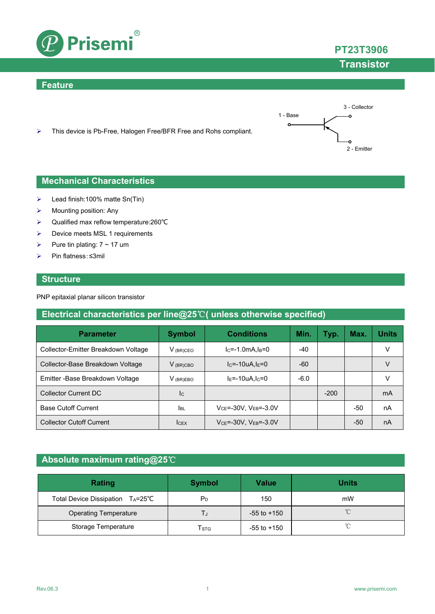

### **Feature**





### **Mechanical Characteristics**

- $\blacktriangleright$  Lead finish:100% matte Sn(Tin)
- $\triangleright$  Mounting position: Any
- Qualified max reflow temperature:260℃
- $\triangleright$  Device meets MSL 1 requirements
- Pure tin plating:  $7 \sim 17$  um
- Pin flatness:≤3mil

### **Structure**

PNP epitaxial planar silicon transistor

### **Electrical characteristics per line@25**℃**( unless otherwise specified)**

| <b>Parameter</b>                    | <b>Symbol</b> | <b>Conditions</b>                  | Min.   | Typ.   | Max.  | <b>Units</b> |
|-------------------------------------|---------------|------------------------------------|--------|--------|-------|--------------|
| Collector-Emitter Breakdown Voltage | $V_{(BR)CEO}$ | $lc = -1.0mA$ , $I_B = 0$          | $-40$  |        |       | V            |
| Collector-Base Breakdown Voltage    | $V_{(BR)CBO}$ | $IC=-10uA,IE=0$                    | -60    |        |       | v            |
| Emitter - Base Breakdown Voltage    | $V_{(BR)EBO}$ | $IE=-10uA, IC=0$                   | $-6.0$ |        |       | V            |
| <b>Collector Current DC</b>         | Ic            |                                    |        | $-200$ |       | mA           |
| <b>Base Cutoff Current</b>          | <b>I</b> BL   | $V_{CE} = -30V$ , $V_{EB} = -3.0V$ |        |        | -50   | nA           |
| <b>Collector Cutoff Current</b>     | <b>ICEX</b>   | $VCE=-30V$ , $VEB=-3.0V$           |        |        | $-50$ | nA           |

## **Absolute maximum rating@25**℃

| Rating                           | <b>Symbol</b> | <b>Value</b>    | <b>Units</b> |
|----------------------------------|---------------|-----------------|--------------|
| Total Device Dissipation TA=25°C | $P_D$         | 150             | mW           |
| <b>Operating Temperature</b>     |               | $-55$ to $+150$ | $^{\circ}$   |
| Storage Temperature              | Tsтg          | $-55$ to $+150$ | $\gamma$     |

# **PT23T3906**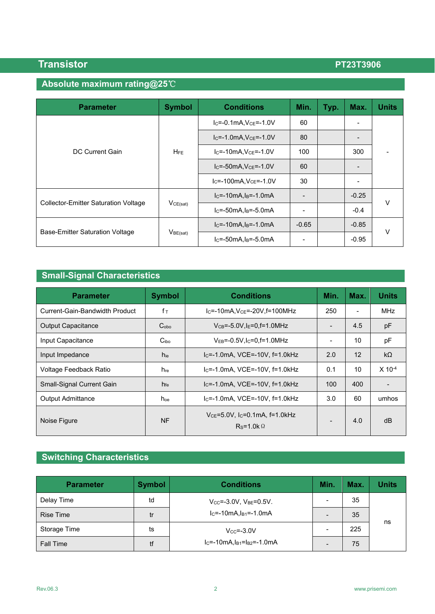## **Absolute maximum rating@25**℃

| <b>Parameter</b>                            | <b>Symbol</b> | <b>Conditions</b>            | Min.    | Typ. | Max.                     | <b>Units</b> |  |
|---------------------------------------------|---------------|------------------------------|---------|------|--------------------------|--------------|--|
| DC Current Gain                             | <b>HFE</b>    | $IC=-0.1mA, VCE=-1.0V$       | 60      |      | $\overline{\phantom{0}}$ |              |  |
|                                             |               | $IC=-1.0mA, VCE=-1.0V$       | 80      |      |                          |              |  |
|                                             |               | $IC=-10mA, VCE=-1.0V$        | 100     |      | 300                      |              |  |
|                                             |               | $IC=-50mA, VCE=-1.0V$        | 60      |      |                          |              |  |
|                                             |               | $IC=-100mA, VCE=-1.0V$       | 30      |      | $\overline{\phantom{0}}$ |              |  |
|                                             | VCE(sat)      | $IC=-10mA, IB=-1.0mA$        |         |      | $-0.25$                  | v            |  |
| <b>Collector-Emitter Saturation Voltage</b> |               | $lc = -50mA$ , $ls = -5.0mA$ |         |      | $-0.4$                   |              |  |
|                                             | $V_{BE(sat)}$ | $IC=-10mA, IB=-1.0mA$        | $-0.65$ |      | $-0.85$                  |              |  |
| <b>Base-Emitter Saturation Voltage</b>      |               | $IC=-50mA, IB=-5.0mA$        |         |      | $-0.95$                  | V            |  |

# **Small-Signal Characteristics**

| <b>Parameter</b>               | <b>Symbol</b>    | <b>Conditions</b>                                        | Min.                         | Max. | <b>Units</b>         |
|--------------------------------|------------------|----------------------------------------------------------|------------------------------|------|----------------------|
| Current-Gain-Bandwidth Product | $f_{\text{T}}$   | $IC=-10mA, VCE=-20V, f=100MHz$                           | 250                          |      | <b>MHz</b>           |
| <b>Output Capacitance</b>      | C <sub>obo</sub> | $V_{CB} = -5.0V$ , $I_E = 0$ , $f = 1.0MHz$              | $\qquad \qquad \blacksquare$ | 4.5  | pF                   |
| Input Capacitance              | C <sub>ibo</sub> | $V_{EB} = -0.5V$ , $I_C = 0.5 = 1.0MHz$                  | $\overline{\phantom{0}}$     | 10   | pF                   |
| Input Impedance                | hie              | Ic=-1.0mA, VCE=-10V, f=1.0kHz                            | 2.0                          | 12   | $k\Omega$            |
| Voltage Feedback Ratio         | $h_{\text{re}}$  | I <sub>C</sub> =-1.0mA, VCE=-10V, f=1.0kHz               | 0.1                          | 10   | $X$ 10 <sup>-4</sup> |
| Small-Signal Current Gain      | h <sub>fe</sub>  | $IC=-1.0mA$ , VCE=-10V, f=1.0kHz                         | 100                          | 400  |                      |
| <b>Output Admittance</b>       | hoe              | $IC=-1.0mA$ , VCE=-10V, f=1.0kHz                         | 3.0                          | 60   | umhos                |
| Noise Figure                   | <b>NF</b>        | $V_{CE} = 5.0 V$ , Ic=0.1mA, f=1.0kHz<br>$Rs=1.0k\Omega$ |                              | 4.0  | dB                   |

# **Switching Characteristics**

| <b>Parameter</b> | <b>Symbol</b> | <b>Conditions</b>                    | Min. | Max. | <b>Units</b> |
|------------------|---------------|--------------------------------------|------|------|--------------|
| Delay Time       | td            | $V_{CC} = -3.0V$ , $V_{BE} = 0.5V$ . | -    | 35   |              |
| <b>Rise Time</b> | tr            | $IC=-10mA, IB1=-1.0mA$               |      | 35   |              |
| Storage Time     | ts            | $V_{\text{CC}} = -3.0V$              |      | 225  | ns           |
| <b>Fall Time</b> | tf            | $IC=-10mA, IB1=IB2=-1.0mA$           |      | 75   |              |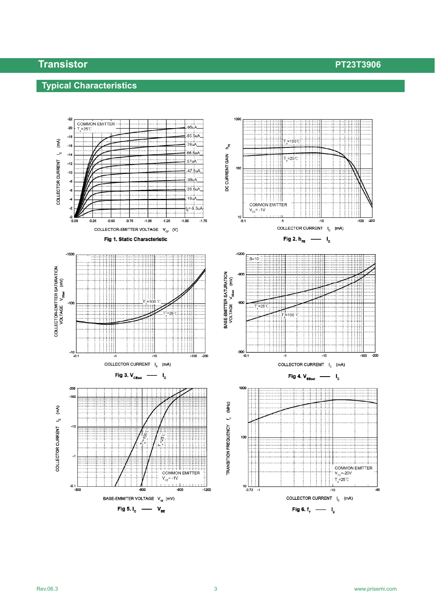## **Typical Characteristics**

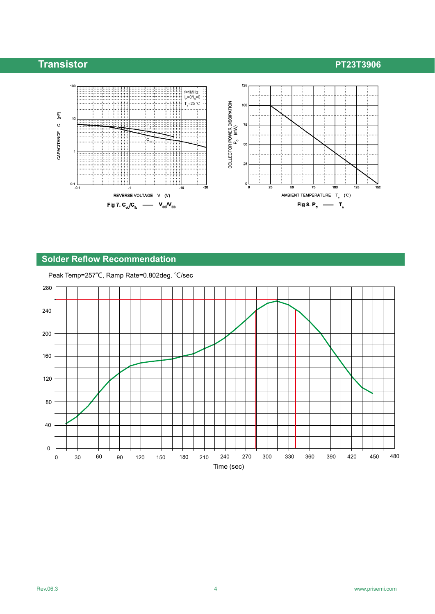

### **Solder Reflow Recommendation**

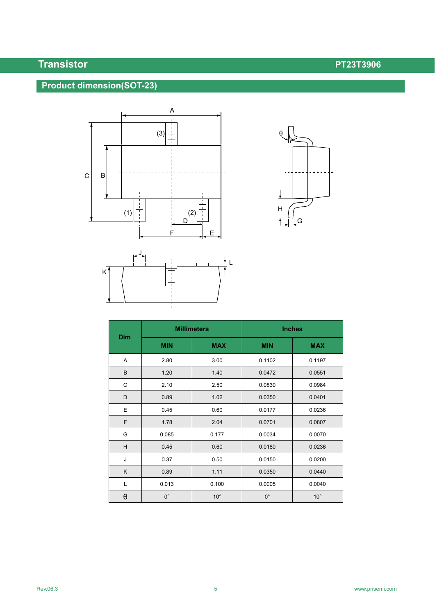# **Product dimension(SOT-23)**







|                       |             | <b>Millimeters</b> | <b>Inches</b> |              |  |
|-----------------------|-------------|--------------------|---------------|--------------|--|
| <b>Dim</b>            | <b>MIN</b>  | <b>MAX</b>         | <b>MIN</b>    | <b>MAX</b>   |  |
| Α                     | 2.80        | 3.00               | 0.1102        | 0.1197       |  |
| B                     | 1.20        | 1.40               | 0.0472        | 0.0551       |  |
| C                     | 2.10        | 2.50               | 0.0830        | 0.0984       |  |
| D                     | 0.89        | 1.02               | 0.0350        | 0.0401       |  |
| E                     | 0.45        | 0.60               | 0.0177        | 0.0236       |  |
| F                     | 1.78        | 2.04               | 0.0701        | 0.0807       |  |
| G                     | 0.085       | 0.177              | 0.0034        | 0.0070       |  |
| H                     | 0.45        | 0.60               | 0.0180        | 0.0236       |  |
| J                     | 0.37        | 0.50               | 0.0150        | 0.0200       |  |
| K                     | 0.89        | 1.11               | 0.0350        | 0.0440       |  |
| Г                     | 0.013       | 0.100              | 0.0005        | 0.0040       |  |
| $\boldsymbol{\theta}$ | $0^{\circ}$ | $10^{\circ}$       | $0^{\circ}$   | $10^{\circ}$ |  |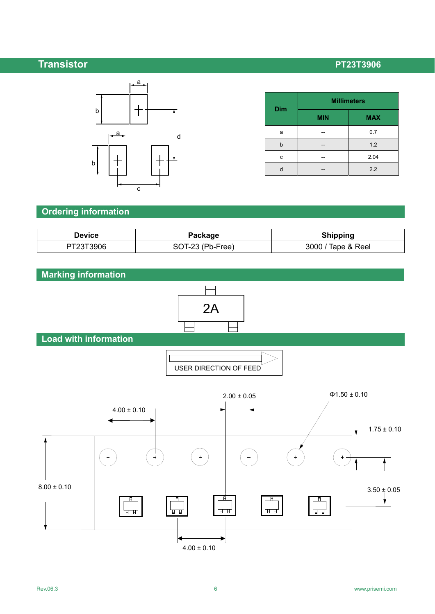

| <b>Dim</b> | <b>Millimeters</b> |            |  |  |
|------------|--------------------|------------|--|--|
|            | <b>MIN</b>         | <b>MAX</b> |  |  |
| a          |                    | 0.7        |  |  |
| h          |                    | 1.2        |  |  |
| c          |                    | 2.04       |  |  |
|            |                    | 2.2        |  |  |

### **Ordering information**

| Device    | Package          | <b>Shipping</b>    |
|-----------|------------------|--------------------|
| PT23T3906 | SOT-23 (Pb-Free) | 3000 / Tape & Reel |